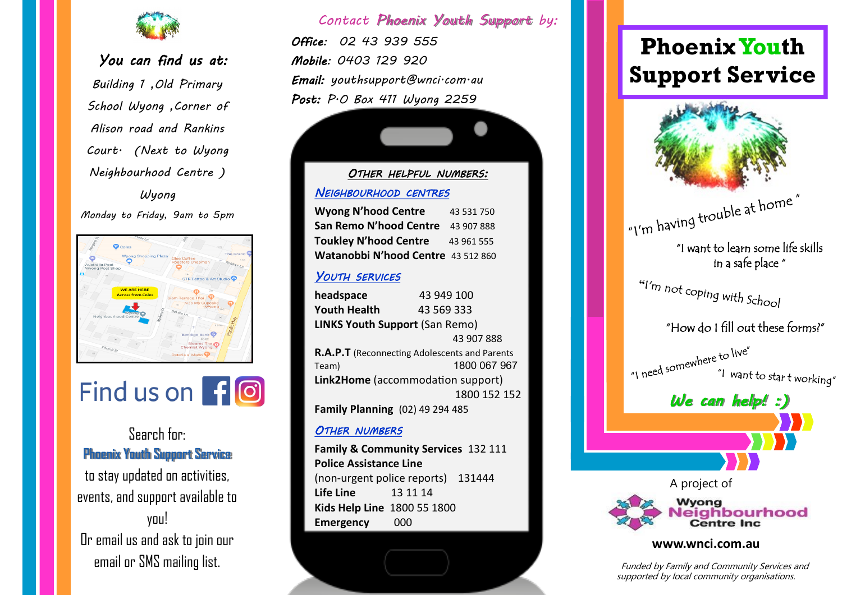

## *You can find us at:*

*Building 1 ,Old Primary School Wyong ,Corner of Alison road and Rankins Court. (Next to Wyong Neighbourhood Centre ) Wyong* 

*Monday to Friday, 9am to 5pm*





## Search for: **Phoenix Youth Support Service**

to stay updated on activities, events, and support available to you! Or email us and ask to join our email or SMS mailing list.

## *Contact Phoenix Youth Support by:*

*Office: 02 43 939 555 Mobile: 0403 129 920 Email: youthsupport@wnci.com.au Post: P.O Box 411 Wyong 2259* 

## *OTHER HELPFUL NUMBERS: NEIGHBOURHOOD CENTRES*

| <b>Wyong N'hood Centre</b>         | 43 531 750 |
|------------------------------------|------------|
| San Remo N'hood Centre             | 43 907 888 |
| <b>Toukley N'hood Centre</b>       | 43 961 555 |
| Watanobbi N'hood Centre 43 512 860 |            |

## *YOUTH SERVICES*

**headspace** 43 949 100 **Youth Health** 43 569 333 **LINKS Youth Support** (San Remo) 43 907 888 **R.A.P.T** (Reconnecting Adolescents and Parents Team) 1800 067 967 **Link2Home** (accommodation support) 1800 152 152 **Family Planning** (02) 49 294 485

## *OTHER NUMBERS*

**Family & Community Services** 132 111 **Police Assistance Line** (non-urgent police reports) 131444 **Life Line** 13 11 14 **Kids Help Line** 1800 55 1800 **Emergency** 000

# **Phoenix Youth Support Service**



 Funded by Family and Community Services and supported by local community organisations.